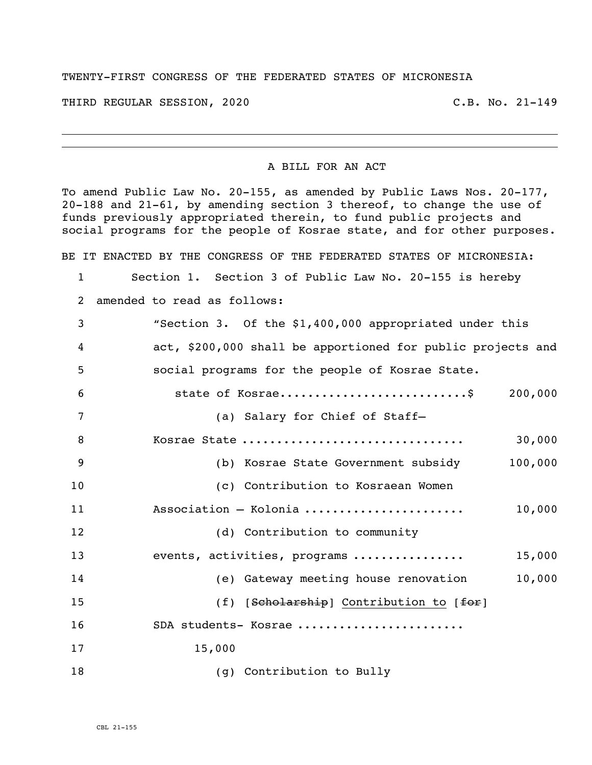## TWENTY-FIRST CONGRESS OF THE FEDERATED STATES OF MICRONESIA

THIRD REGULAR SESSION, 2020 C.B. No. 21-149

i<br>L

## A BILL FOR AN ACT

To amend Public Law No. 20-155, as amended by Public Laws Nos. 20-177, 20-188 and 21-61, by amending section 3 thereof, to change the use of funds previously appropriated therein, to fund public projects and social programs for the people of Kosrae state, and for other purposes.

BE IT ENACTED BY THE CONGRESS OF THE FEDERATED STATES OF MICRONESIA:

- Section 1. Section 3 of Public Law No. 20-155 is hereby
- amended to read as follows:

| 3  | "Section 3. Of the \$1,400,000 appropriated under this      |         |
|----|-------------------------------------------------------------|---------|
| 4  | act, \$200,000 shall be apportioned for public projects and |         |
| 5  | social programs for the people of Kosrae State.             |         |
| 6  | state of Kosrae\$                                           | 200,000 |
| 7  | (a) Salary for Chief of Staff-                              |         |
| 8  | Kosrae State                                                | 30,000  |
| 9  | (b) Kosrae State Government subsidy                         | 100,000 |
| 10 | (c) Contribution to Kosraean Women                          |         |
| 11 | Association - Kolonia                                       | 10,000  |
| 12 | (d) Contribution to community                               |         |
| 13 | events, activities, programs                                | 15,000  |
| 14 | (e) Gateway meeting house renovation                        | 10,000  |
| 15 | (f) $[Seholarship]$ Contribution to $[feF]$                 |         |
| 16 | SDA students- Kosrae                                        |         |
| 17 | 15,000                                                      |         |
| 18 | (g) Contribution to Bully                                   |         |